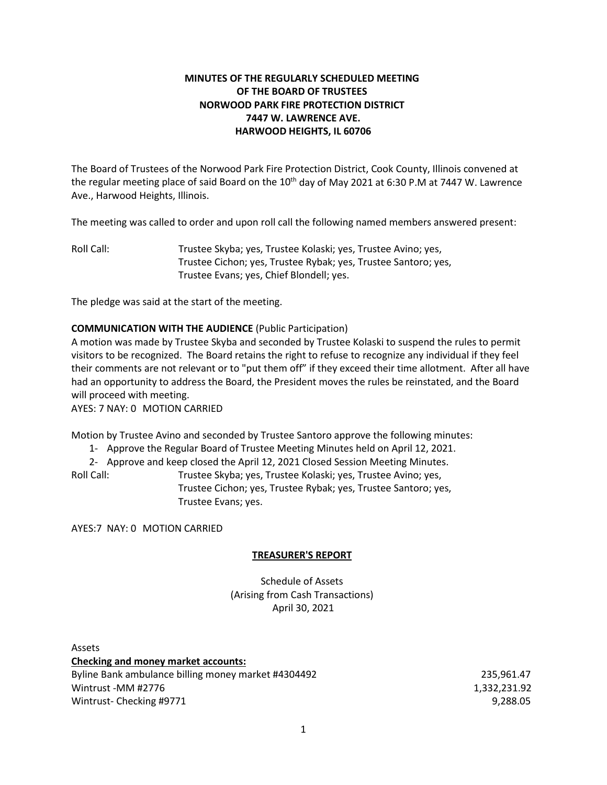# **MINUTES OF THE REGULARLY SCHEDULED MEETING OF THE BOARD OF TRUSTEES NORWOOD PARK FIRE PROTECTION DISTRICT 7447 W. LAWRENCE AVE. HARWOOD HEIGHTS, IL 60706**

The Board of Trustees of the Norwood Park Fire Protection District, Cook County, Illinois convened at the regular meeting place of said Board on the 10<sup>th</sup> day of May 2021 at 6:30 P.M at 7447 W. Lawrence Ave., Harwood Heights, Illinois.

The meeting was called to order and upon roll call the following named members answered present:

Roll Call: Trustee Skyba; yes, Trustee Kolaski; yes, Trustee Avino; yes, Trustee Cichon; yes, Trustee Rybak; yes, Trustee Santoro; yes, Trustee Evans; yes, Chief Blondell; yes.

The pledge was said at the start of the meeting.

## **COMMUNICATION WITH THE AUDIENCE** (Public Participation)

A motion was made by Trustee Skyba and seconded by Trustee Kolaski to suspend the rules to permit visitors to be recognized. The Board retains the right to refuse to recognize any individual if they feel their comments are not relevant or to "put them off" if they exceed their time allotment. After all have had an opportunity to address the Board, the President moves the rules be reinstated, and the Board will proceed with meeting.

AYES: 7 NAY: 0 MOTION CARRIED

Motion by Trustee Avino and seconded by Trustee Santoro approve the following minutes:

1- Approve the Regular Board of Trustee Meeting Minutes held on April 12, 2021.

2- Approve and keep closed the April 12, 2021 Closed Session Meeting Minutes.

Roll Call: Trustee Skyba; yes, Trustee Kolaski; yes, Trustee Avino; yes, Trustee Cichon; yes, Trustee Rybak; yes, Trustee Santoro; yes, Trustee Evans; yes.

AYES:7 NAY: 0 MOTION CARRIED

## **TREASURER'S REPORT**

Schedule of Assets (Arising from Cash Transactions) April 30, 2021

Assets **Checking and money market accounts:** Byline Bank ambulance billing money market #4304492 235,961.47 Wintrust -MM #2776 1,332,231.92 Wintrust- Checking #9771 9,288.05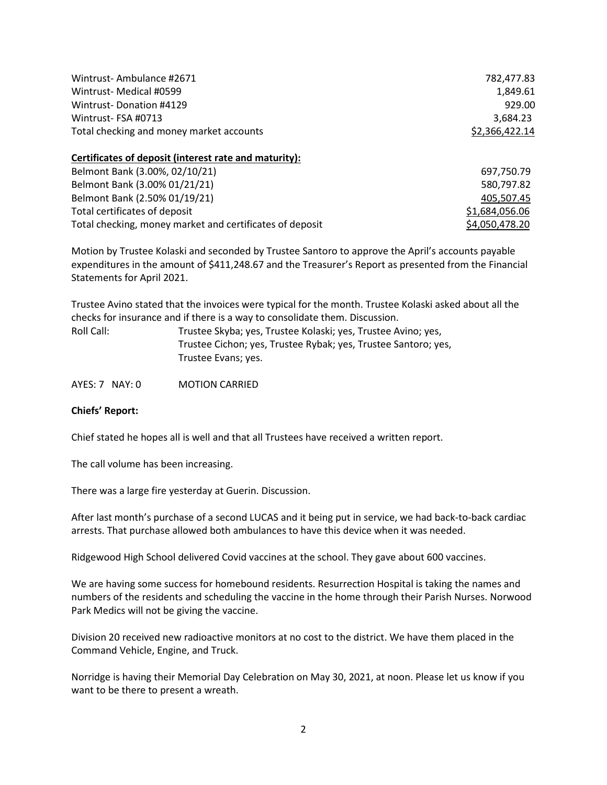| Wintrust-Ambulance #2671                                 | 782,477.83     |
|----------------------------------------------------------|----------------|
| Wintrust- Medical #0599                                  | 1,849.61       |
| Wintrust-Donation #4129                                  | 929.00         |
| Wintrust-FSA #0713                                       | 3,684.23       |
| Total checking and money market accounts                 | \$2,366,422.14 |
| Certificates of deposit (interest rate and maturity):    |                |
| Belmont Bank (3.00%, 02/10/21)                           | 697,750.79     |
| Belmont Bank (3.00% 01/21/21)                            | 580,797.82     |
| Belmont Bank (2.50% 01/19/21)                            | 405.507.45     |
| Total certificates of deposit                            | \$1,684,056.06 |
| Total checking, money market and certificates of deposit | \$4,050,478.20 |

Motion by Trustee Kolaski and seconded by Trustee Santoro to approve the April's accounts payable expenditures in the amount of \$411,248.67 and the Treasurer's Report as presented from the Financial Statements for April 2021.

Trustee Avino stated that the invoices were typical for the month. Trustee Kolaski asked about all the checks for insurance and if there is a way to consolidate them. Discussion.

| Roll Call: | Trustee Skyba; yes, Trustee Kolaski; yes, Trustee Avino; yes,  |
|------------|----------------------------------------------------------------|
|            | Trustee Cichon; yes, Trustee Rybak; yes, Trustee Santoro; yes, |
|            | Trustee Evans; yes.                                            |

AYES: 7 NAY: 0 MOTION CARRIED

### **Chiefs' Report:**

Chief stated he hopes all is well and that all Trustees have received a written report.

The call volume has been increasing.

There was a large fire yesterday at Guerin. Discussion.

After last month's purchase of a second LUCAS and it being put in service, we had back-to-back cardiac arrests. That purchase allowed both ambulances to have this device when it was needed.

Ridgewood High School delivered Covid vaccines at the school. They gave about 600 vaccines.

We are having some success for homebound residents. Resurrection Hospital is taking the names and numbers of the residents and scheduling the vaccine in the home through their Parish Nurses. Norwood Park Medics will not be giving the vaccine.

Division 20 received new radioactive monitors at no cost to the district. We have them placed in the Command Vehicle, Engine, and Truck.

Norridge is having their Memorial Day Celebration on May 30, 2021, at noon. Please let us know if you want to be there to present a wreath.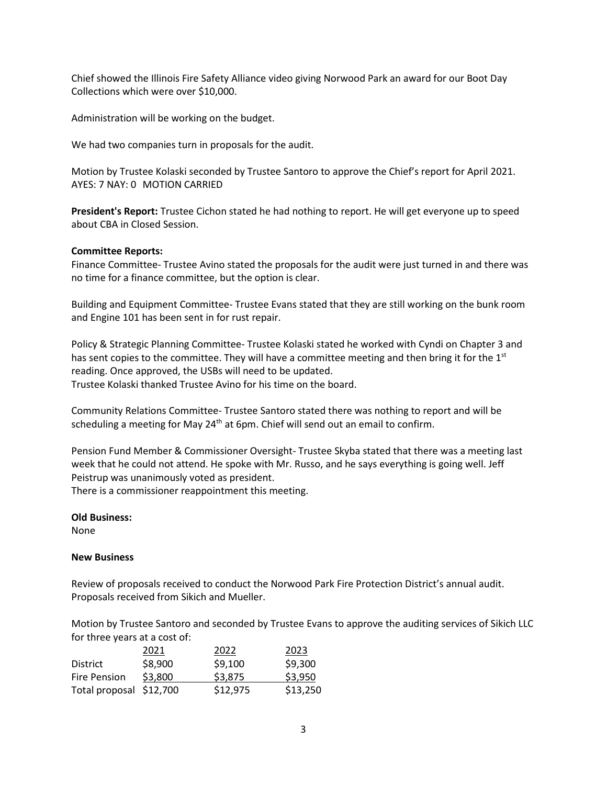Chief showed the Illinois Fire Safety Alliance video giving Norwood Park an award for our Boot Day Collections which were over \$10,000.

Administration will be working on the budget.

We had two companies turn in proposals for the audit.

Motion by Trustee Kolaski seconded by Trustee Santoro to approve the Chief's report for April 2021. AYES: 7 NAY: 0 MOTION CARRIED

**President's Report:** Trustee Cichon stated he had nothing to report. He will get everyone up to speed about CBA in Closed Session.

## **Committee Reports:**

Finance Committee- Trustee Avino stated the proposals for the audit were just turned in and there was no time for a finance committee, but the option is clear.

Building and Equipment Committee- Trustee Evans stated that they are still working on the bunk room and Engine 101 has been sent in for rust repair.

Policy & Strategic Planning Committee- Trustee Kolaski stated he worked with Cyndi on Chapter 3 and has sent copies to the committee. They will have a committee meeting and then bring it for the  $1<sup>st</sup>$ reading. Once approved, the USBs will need to be updated. Trustee Kolaski thanked Trustee Avino for his time on the board.

Community Relations Committee- Trustee Santoro stated there was nothing to report and will be scheduling a meeting for May  $24<sup>th</sup>$  at 6pm. Chief will send out an email to confirm.

Pension Fund Member & Commissioner Oversight- Trustee Skyba stated that there was a meeting last week that he could not attend. He spoke with Mr. Russo, and he says everything is going well. Jeff Peistrup was unanimously voted as president.

There is a commissioner reappointment this meeting.

### **Old Business:**

None

## **New Business**

Review of proposals received to conduct the Norwood Park Fire Protection District's annual audit. Proposals received from Sikich and Mueller.

Motion by Trustee Santoro and seconded by Trustee Evans to approve the auditing services of Sikich LLC for three years at a cost of:

|                         | 2021    | 2022     | 2023     |
|-------------------------|---------|----------|----------|
| <b>District</b>         | \$8,900 | \$9,100  | \$9,300  |
| <b>Fire Pension</b>     | \$3,800 | \$3,875  | \$3,950  |
| Total proposal \$12,700 |         | \$12,975 | \$13,250 |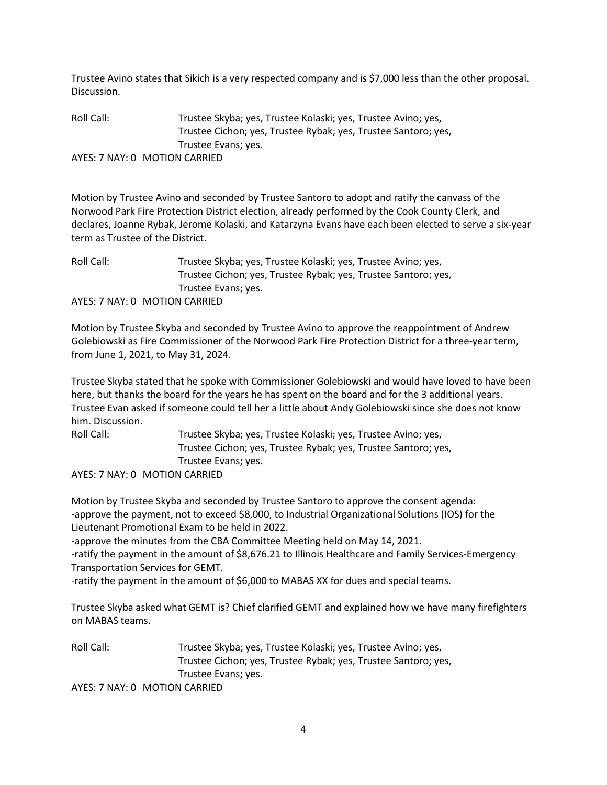Trustee Avino states that Sikich is a very respected company and is \$7,000 less than the other proposal. Discussion.

Roll Call: Trustee Skyba; yes, Trustee Kolaski; yes, Trustee Avino; yes, Trustee Cichon; yes, Trustee Rybak; yes, Trustee Santoro; yes, Trustee Evans; yes. AYES: 7 NAY: 0 MOTION CARRIED

Motion by Trustee Avino and seconded by Trustee Santoro to adopt and ratify the canvass of the Norwood Park Fire Protection District election, already performed by the Cook County Clerk, and declares, Joanne Rybak, Jerome Kolaski, and Katarzyna Evans have each been elected to serve a six-year term as Trustee of the District.

Roll Call: Trustee Skyba; yes, Trustee Kolaski; yes, Trustee Avino; yes, Trustee Cichon; yes, Trustee Rybak; yes, Trustee Santoro; yes, Trustee Evans; yes. AYES: 7 NAY: 0 MOTION CARRIED

Motion by Trustee Skyba and seconded by Trustee Avino to approve the reappointment of Andrew Golebiowski as Fire Commissioner of the Norwood Park Fire Protection District for a three-year term, from June 1, 2021, to May 31, 2024.

Trustee Skyba stated that he spoke with Commissioner Golebiowski and would have loved to have been here, but thanks the board for the years he has spent on the board and for the 3 additional years. Trustee Evan asked if someone could tell her a little about Andy Golebiowski since she does not know him. Discussion.

Roll Call: Trustee Skyba; yes, Trustee Kolaski; yes, Trustee Avino; yes, Trustee Cichon; yes, Trustee Rybak; yes, Trustee Santoro; yes, Trustee Evans; yes.

AYES: 7 NAY: 0 MOTION CARRIED

Motion by Trustee Skyba and seconded by Trustee Santoro to approve the consent agenda: -approve the payment, not to exceed \$8,000, to Industrial Organizational Solutions (IOS) for the Lieutenant Promotional Exam to be held in 2022.

-approve the minutes from the CBA Committee Meeting held on May 14, 2021.

-ratify the payment in the amount of \$8,676.21 to Illinois Healthcare and Family Services-Emergency Transportation Services for GEMT.

-ratify the payment in the amount of \$6,000 to MABAS XX for dues and special teams.

Trustee Skyba asked what GEMT is? Chief clarified GEMT and explained how we have many firefighters on MABAS teams.

Roll Call: Trustee Skyba; yes, Trustee Kolaski; yes, Trustee Avino; yes, Trustee Cichon; yes, Trustee Rybak; yes, Trustee Santoro; yes, Trustee Evans; yes. AYES: 7 NAY: 0 MOTION CARRIED